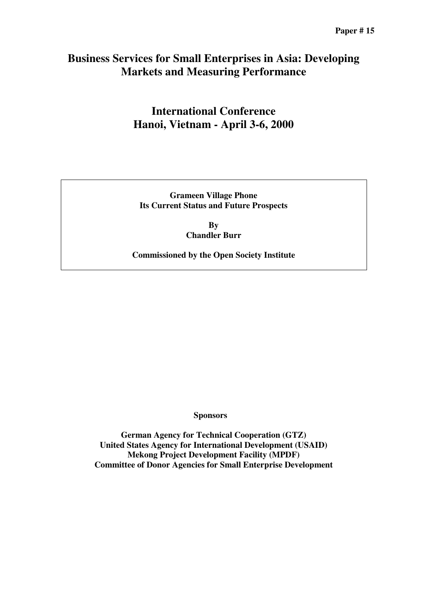## **Business Services for Small Enterprises in Asia: Developing Markets and Measuring Performance**

# **International Conference Hanoi, Vietnam - April 3-6, 2000**

**Grameen Village Phone Its Current Status and Future Prospects**

> **By Chandler Burr**

**Commissioned by the Open Society Institute**

**Sponsors**

**German Agency for Technical Cooperation (GTZ) United States Agency for International Development (USAID) Mekong Project Development Facility (MPDF) Committee of Donor Agencies for Small Enterprise Development**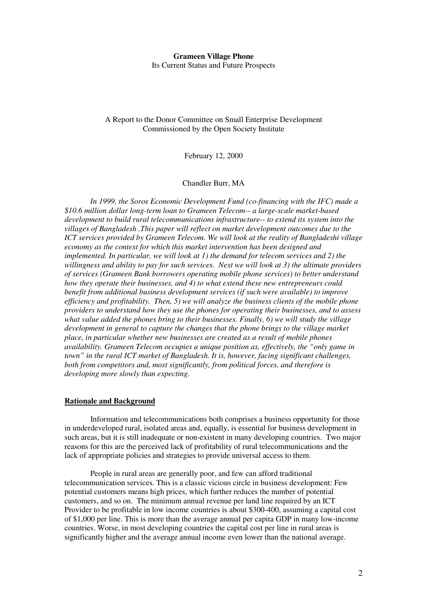## **Grameen Village Phone** Its Current Status and Future Prospects

## A Report to the Donor Committee on Small Enterprise Development Commissioned by the Open Society Institute

February 12, 2000

Chandler Burr, MA

*In 1999, the Soros Economic Development Fund (co-financing with the IFC) made a \$10.6 million dollar long-term loan to Grameen Telecom-- a large-scale market-based development to build rural telecommunications infrastructure-- to extend its system into the villages of Bangladesh .This paper will reflect on market development outcomes due to the ICT services provided by Grameen Telecom. We will look at the reality of Bangladeshi village economy as the context for which this market intervention has been designed and implemented. In particular, we will look at 1) the demand for telecom services and 2) the willingness and ability to pay for such services. Next we will look at 3) the ultimate providers of services (Grameen Bank borrowers operating mobile phone services) to better understand how they operate their businesses, and 4) to what extend these new entrepreneurs could benefit from additional business development services (if such were available) to improve efficiency and profitability. Then, 5) we will analyze the business clients of the mobile phone providers to understand how they use the phones for operating their businesses, and to assess what value added the phones bring to their businesses. Finally, 6) we will study the village development in general to capture the changes that the phone brings to the village market place, in particular whether new businesses are created as a result of mobile phones availability. Grameen Telecom occupies a unique position as, effectively, the "only game in town" in the rural ICT market of Bangladesh. It is, however, facing significant challenges, both from competitors and, most significantly, from political forces, and therefore is developing more slowly than expecting.*

## **Rationale and Background**

Information and telecommunications both comprises a business opportunity for those in underdeveloped rural, isolated areas and, equally, is essential for business development in such areas, but it is still inadequate or non-existent in many developing countries. Two major reasons for this are the perceived lack of profitability of rural telecommunications and the lack of appropriate policies and strategies to provide universal access to them.

People in rural areas are generally poor, and few can afford traditional telecommunication services. This is a classic vicious circle in business development: Few potential customers means high prices, which further reduces the number of potential customers, and so on. The minimum annual revenue per land line required by an ICT Provider to be profitable in low income countries is about \$300-400, assuming a capital cost of \$1,000 per line. This is more than the average annual per capita GDP in many low-income countries. Worse, in most developing countries the capital cost per line in rural areas is significantly higher and the average annual income even lower than the national average.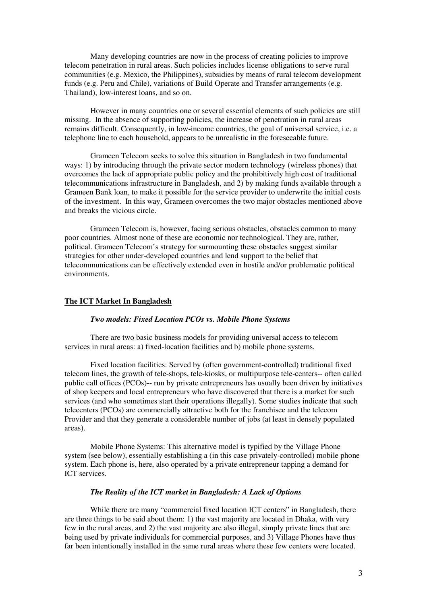Many developing countries are now in the process of creating policies to improve telecom penetration in rural areas. Such policies includes license obligations to serve rural communities (e.g. Mexico, the Philippines), subsidies by means of rural telecom development funds (e.g. Peru and Chile), variations of Build Operate and Transfer arrangements (e.g. Thailand), low-interest loans, and so on.

However in many countries one or several essential elements of such policies are still missing. In the absence of supporting policies, the increase of penetration in rural areas remains difficult. Consequently, in low-income countries, the goal of universal service, i.e. a telephone line to each household, appears to be unrealistic in the foreseeable future.

Grameen Telecom seeks to solve this situation in Bangladesh in two fundamental ways: 1) by introducing through the private sector modern technology (wireless phones) that overcomes the lack of appropriate public policy and the prohibitively high cost of traditional telecommunications infrastructure in Bangladesh, and 2) by making funds available through a Grameen Bank loan, to make it possible for the service provider to underwrite the initial costs of the investment. In this way, Grameen overcomes the two major obstacles mentioned above and breaks the vicious circle.

Grameen Telecom is, however, facing serious obstacles, obstacles common to many poor countries. Almost none of these are economic nor technological. They are, rather, political. Grameen Telecom's strategy for surmounting these obstacles suggest similar strategies for other under-developed countries and lend support to the belief that telecommunications can be effectively extended even in hostile and/or problematic political environments.

#### **The ICT Market In Bangladesh**

## *Two models: Fixed Location PCOs vs. Mobile Phone Systems*

There are two basic business models for providing universal access to telecom services in rural areas: a) fixed-location facilities and b) mobile phone systems.

Fixed location facilities: Served by (often government-controlled) traditional fixed telecom lines, the growth of tele-shops, tele-kiosks, or multipurpose tele-centers-- often called public call offices (PCOs)-- run by private entrepreneurs has usually been driven by initiatives of shop keepers and local entrepreneurs who have discovered that there is a market for such services (and who sometimes start their operations illegally). Some studies indicate that such telecenters (PCOs) are commercially attractive both for the franchisee and the telecom Provider and that they generate a considerable number of jobs (at least in densely populated areas).

Mobile Phone Systems: This alternative model is typified by the Village Phone system (see below), essentially establishing a (in this case privately-controlled) mobile phone system. Each phone is, here, also operated by a private entrepreneur tapping a demand for ICT services.

## *The Reality of the ICT market in Bangladesh: A Lack of Options*

While there are many "commercial fixed location ICT centers" in Bangladesh, there are three things to be said about them: 1) the vast majority are located in Dhaka, with very few in the rural areas, and 2) the vast majority are also illegal, simply private lines that are being used by private individuals for commercial purposes, and 3) Village Phones have thus far been intentionally installed in the same rural areas where these few centers were located.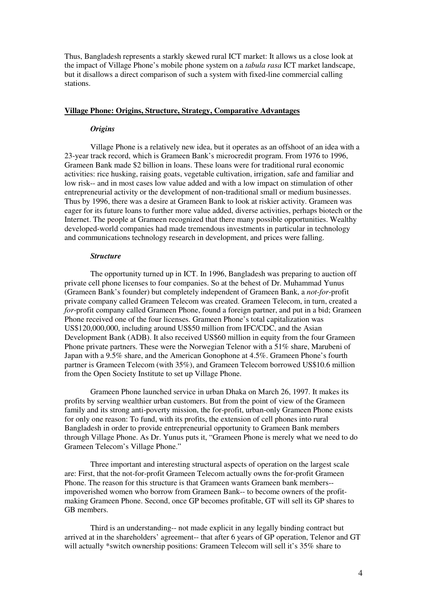Thus, Bangladesh represents a starkly skewed rural ICT market: It allows us a close look at the impact of Village Phone's mobile phone system on a *tabula rasa* ICT market landscape, but it disallows a direct comparison of such a system with fixed-line commercial calling stations.

#### **Village Phone: Origins, Structure, Strategy, Comparative Advantages**

## *Origins*

Village Phone is a relatively new idea, but it operates as an offshoot of an idea with a 23-year track record, which is Grameen Bank's microcredit program. From 1976 to 1996, Grameen Bank made \$2 billion in loans. These loans were for traditional rural economic activities: rice husking, raising goats, vegetable cultivation, irrigation, safe and familiar and low risk-- and in most cases low value added and with a low impact on stimulation of other entrepreneurial activity or the development of non-traditional small or medium businesses. Thus by 1996, there was a desire at Grameen Bank to look at riskier activity. Grameen was eager for its future loans to further more value added, diverse activities, perhaps biotech or the Internet. The people at Grameen recognized that there many possible opportunities. Wealthy developed-world companies had made tremendous investments in particular in technology and communications technology research in development, and prices were falling.

#### *Structure*

The opportunity turned up in ICT. In 1996, Bangladesh was preparing to auction off private cell phone licenses to four companies. So at the behest of Dr. Muhammad Yunus (Grameen Bank's founder) but completely independent of Grameen Bank, a *not-for*-profit private company called Grameen Telecom was created. Grameen Telecom, in turn, created a *for*-profit company called Grameen Phone, found a foreign partner, and put in a bid; Grameen Phone received one of the four licenses. Grameen Phone's total capitalization was US\$120,000,000, including around US\$50 million from IFC/CDC, and the Asian Development Bank (ADB). It also received US\$60 million in equity from the four Grameen Phone private partners. These were the Norwegian Telenor with a 51% share, Marubeni of Japan with a 9.5% share, and the American Gonophone at 4.5%. Grameen Phone's fourth partner is Grameen Telecom (with 35%), and Grameen Telecom borrowed US\$10.6 million from the Open Society Institute to set up Village Phone.

Grameen Phone launched service in urban Dhaka on March 26, 1997. It makes its profits by serving wealthier urban customers. But from the point of view of the Grameen family and its strong anti-poverty mission, the for-profit, urban-only Grameen Phone exists for only one reason: To fund, with its profits, the extension of cell phones into rural Bangladesh in order to provide entrepreneurial opportunity to Grameen Bank members through Village Phone. As Dr. Yunus puts it, "Grameen Phone is merely what we need to do Grameen Telecom's Village Phone."

Three important and interesting structural aspects of operation on the largest scale are: First, that the not-for-profit Grameen Telecom actually owns the for-profit Grameen Phone. The reason for this structure is that Grameen wants Grameen bank members- impoverished women who borrow from Grameen Bank-- to become owners of the profitmaking Grameen Phone. Second, once GP becomes profitable, GT will sell its GP shares to GB members.

Third is an understanding-- not made explicit in any legally binding contract but arrived at in the shareholders' agreement-- that after 6 years of GP operation, Telenor and GT will actually \*switch ownership positions: Grameen Telecom will sell it's 35% share to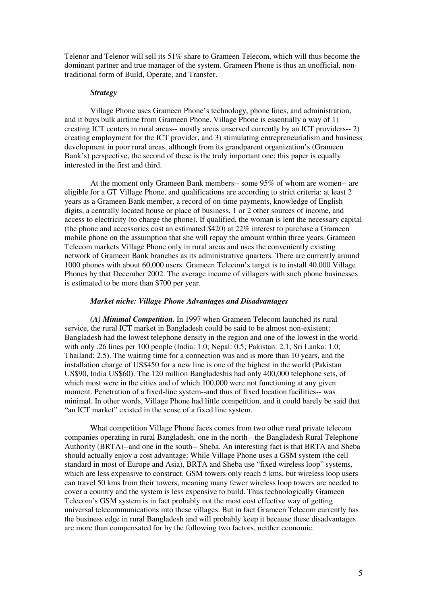Telenor and Telenor will sell its 51% share to Grameen Telecom, which will thus become the dominant partner and true manager of the system. Grameen Phone is thus an unofficial, nontraditional form of Build, Operate, and Transfer.

#### *Strategy*

Village Phone uses Grameen Phone's technology, phone lines, and administration, and it buys bulk airtime from Grameen Phone. Village Phone is essentially a way of 1) creating ICT centers in rural areas-- mostly areas unserved currently by an ICT providers-- 2) creating employment for the ICT provider, and 3) stimulating entrepreneurialism and business development in poor rural areas, although from its grandparent organization's (Grameen Bank's) perspective, the second of these is the truly important one; this paper is equally interested in the first and third.

At the moment only Grameen Bank members-- some 95% of whom are women-- are eligible for a GT Village Phone, and qualifications are according to strict criteria: at least 2 years as a Grameen Bank member, a record of on-time payments, knowledge of English digits, a centrally located house or place of business, 1 or 2 other sources of income, and access to electricity (to charge the phone). If qualified, the woman is lent the necessary capital (the phone and accessories cost an estimated \$420) at 22% interest to purchase a Grameen mobile phone on the assumption that she will repay the amount within three years. Grameen Telecom markets Village Phone only in rural areas and uses the conveniently existing network of Grameen Bank branches as its administrative quarters. There are currently around 1000 phones with about 60,000 users. Grameen Telecom's target is to install 40,000 Village Phones by that December 2002. The average income of villagers with such phone businesses is estimated to be more than \$700 per year.

#### *Market niche: Village Phone Advantages and Disadvantages*

*(A) Minimal Competition.* In 1997 when Grameen Telecom launched its rural service, the rural ICT market in Bangladesh could be said to be almost non-existent; Bangladesh had the lowest telephone density in the region and one of the lowest in the world with only .26 lines per 100 people (India: 1.0; Nepal: 0.5; Pakistan: 2.1; Sri Lanka: 1.0; Thailand: 2.5). The waiting time for a connection was and is more than 10 years, and the installation charge of US\$450 for a new line is one of the highest in the world (Pakistan US\$90, India US\$60). The 120 million Bangladeshis had only 400,000 telephone sets, of which most were in the cities and of which 100,000 were not functioning at any given moment. Penetration of a fixed-line system--and thus of fixed location facilities-- was minimal. In other words, Village Phone had little competition, and it could barely be said that "an ICT market" existed in the sense of a fixed line system.

What competition Village Phone faces comes from two other rural private telecom companies operating in rural Bangladesh, one in the north-- the Bangladesh Rural Telephone Authority (BRTA)--and one in the south-- Sheba. An interesting fact is that BRTA and Sheba should actually enjoy a cost advantage: While Village Phone uses a GSM system (the cell standard in most of Europe and Asia), BRTA and Sheba use "fixed wireless loop" systems, which are less expensive to construct. GSM towers only reach 5 kms, but wireless loop users can travel 50 kms from their towers, meaning many fewer wireless loop towers are needed to cover a country and the system is less expensive to build. Thus technologically Grameen Telecom's GSM system is in fact probably not the most cost effective way of getting universal telecommunications into these villages. But in fact Grameen Telecom currently has the business edge in rural Bangladesh and will probably keep it because these disadvantages are more than compensated for by the following two factors, neither economic.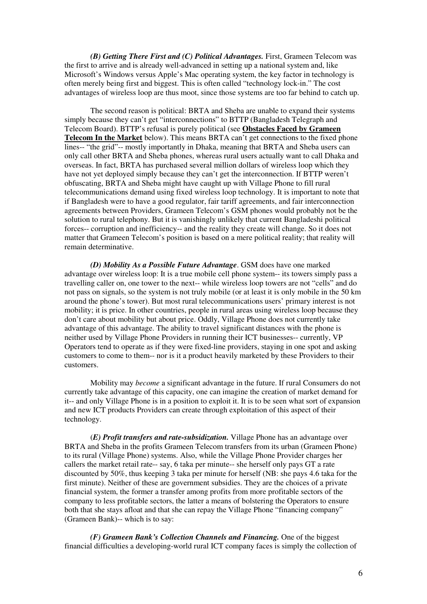*(B) Getting There First and (C) Political Advantages.* First, Grameen Telecom was the first to arrive and is already well-advanced in setting up a national system and, like Microsoft's Windows versus Apple's Mac operating system, the key factor in technology is often merely being first and biggest. This is often called "technology lock-in." The cost advantages of wireless loop are thus moot, since those systems are too far behind to catch up.

The second reason is political: BRTA and Sheba are unable to expand their systems simply because they can't get "interconnections" to BTTP (Bangladesh Telegraph and Telecom Board). BTTP's refusal is purely political (see **Obstacles Faced by Grameen Telecom In the Market** below). This means BRTA can't get connections to the fixed phone lines-- "the grid"-- mostly importantly in Dhaka, meaning that BRTA and Sheba users can only call other BRTA and Sheba phones, whereas rural users actually want to call Dhaka and overseas. In fact, BRTA has purchased several million dollars of wireless loop which they have not yet deployed simply because they can't get the interconnection. If BTTP weren't obfuscating, BRTA and Sheba might have caught up with Village Phone to fill rural telecommunications demand using fixed wireless loop technology. It is important to note that if Bangladesh were to have a good regulator, fair tariff agreements, and fair interconnection agreements between Providers, Grameen Telecom's GSM phones would probably not be the solution to rural telephony. But it is vanishingly unlikely that current Bangladeshi political forces-- corruption and inefficiency-- and the reality they create will change. So it does not matter that Grameen Telecom's position is based on a mere political reality; that reality will remain determinative.

*(D) Mobility As a Possible Future Advantage*. GSM does have one marked advantage over wireless loop: It is a true mobile cell phone system-- its towers simply pass a travelling caller on, one tower to the next-- while wireless loop towers are not "cells" and do not pass on signals, so the system is not truly mobile (or at least it is only mobile in the 50 km around the phone's tower). But most rural telecommunications users' primary interest is not mobility; it is price. In other countries, people in rural areas using wireless loop because they don't care about mobility but about price. Oddly, Village Phone does not currently take advantage of this advantage. The ability to travel significant distances with the phone is neither used by Village Phone Providers in running their ICT businesses-- currently, VP Operators tend to operate as if they were fixed-line providers, staying in one spot and asking customers to come to them-- nor is it a product heavily marketed by these Providers to their customers.

Mobility may *become* a significant advantage in the future. If rural Consumers do not currently take advantage of this capacity, one can imagine the creation of market demand for it-- and only Village Phone is in a position to exploit it. It is to be seen what sort of expansion and new ICT products Providers can create through exploitation of this aspect of their technology.

(*E) Profit transfers and rate-subsidization.* Village Phone has an advantage over BRTA and Sheba in the profits Grameen Telecom transfers from its urban (Grameen Phone) to its rural (Village Phone) systems. Also, while the Village Phone Provider charges her callers the market retail rate-- say, 6 taka per minute-- she herself only pays GT a rate discounted by 50%, thus keeping 3 taka per minute for herself (NB: she pays 4.6 taka for the first minute). Neither of these are government subsidies. They are the choices of a private financial system, the former a transfer among profits from more profitable sectors of the company to less profitable sectors, the latter a means of bolstering the Operators to ensure both that she stays afloat and that she can repay the Village Phone "financing company" (Grameen Bank)-- which is to say:

*(F) Grameen Bank's Collection Channels and Financing.* One of the biggest financial difficulties a developing-world rural ICT company faces is simply the collection of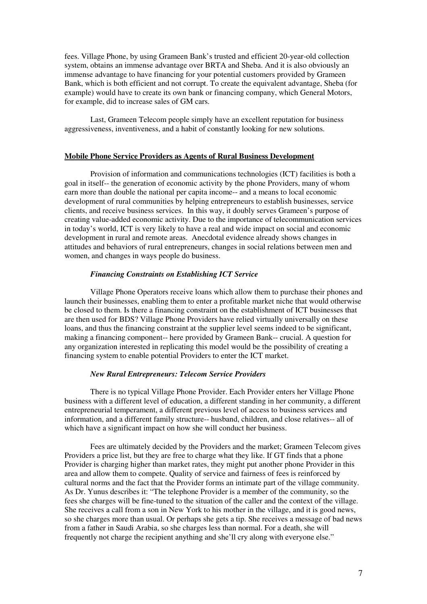fees. Village Phone, by using Grameen Bank's trusted and efficient 20-year-old collection system, obtains an immense advantage over BRTA and Sheba. And it is also obviously an immense advantage to have financing for your potential customers provided by Grameen Bank, which is both efficient and not corrupt. To create the equivalent advantage, Sheba (for example) would have to create its own bank or financing company, which General Motors, for example, did to increase sales of GM cars.

Last, Grameen Telecom people simply have an excellent reputation for business aggressiveness, inventiveness, and a habit of constantly looking for new solutions.

## **Mobile Phone Service Providers as Agents of Rural Business Development**

Provision of information and communications technologies (ICT) facilities is both a goal in itself-- the generation of economic activity by the phone Providers, many of whom earn more than double the national per capita income-- and a means to local economic development of rural communities by helping entrepreneurs to establish businesses, service clients, and receive business services. In this way, it doubly serves Grameen's purpose of creating value-added economic activity. Due to the importance of telecommunication services in today's world, ICT is very likely to have a real and wide impact on social and economic development in rural and remote areas. Anecdotal evidence already shows changes in attitudes and behaviors of rural entrepreneurs, changes in social relations between men and women, and changes in ways people do business.

## *Financing Constraints on Establishing ICT Service*

Village Phone Operators receive loans which allow them to purchase their phones and launch their businesses, enabling them to enter a profitable market niche that would otherwise be closed to them. Is there a financing constraint on the establishment of ICT businesses that are then used for BDS? Village Phone Providers have relied virtually universally on these loans, and thus the financing constraint at the supplier level seems indeed to be significant, making a financing component-- here provided by Grameen Bank-- crucial. A question for any organization interested in replicating this model would be the possibility of creating a financing system to enable potential Providers to enter the ICT market.

## *New Rural Entrepreneurs: Telecom Service Providers*

There is no typical Village Phone Provider. Each Provider enters her Village Phone business with a different level of education, a different standing in her community, a different entrepreneurial temperament, a different previous level of access to business services and information, and a different family structure-- husband, children, and close relatives-- all of which have a significant impact on how she will conduct her business.

Fees are ultimately decided by the Providers and the market; Grameen Telecom gives Providers a price list, but they are free to charge what they like. If GT finds that a phone Provider is charging higher than market rates, they might put another phone Provider in this area and allow them to compete. Quality of service and fairness of fees is reinforced by cultural norms and the fact that the Provider forms an intimate part of the village community. As Dr. Yunus describes it: "The telephone Provider is a member of the community, so the fees she charges will be fine-tuned to the situation of the caller and the context of the village. She receives a call from a son in New York to his mother in the village, and it is good news, so she charges more than usual. Or perhaps she gets a tip. She receives a message of bad news from a father in Saudi Arabia, so she charges less than normal. For a death, she will frequently not charge the recipient anything and she'll cry along with everyone else."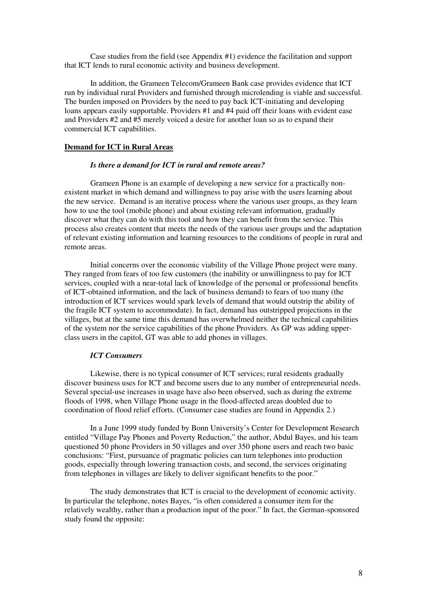Case studies from the field (see Appendix #1) evidence the facilitation and support that ICT lends to rural economic activity and business development.

In addition, the Grameen Telecom/Grameen Bank case provides evidence that ICT run by individual rural Providers and furnished through microlending is viable and successful. The burden imposed on Providers by the need to pay back ICT-initiating and developing loans appears easily supportable. Providers #1 and #4 paid off their loans with evident ease and Providers #2 and #5 merely voiced a desire for another loan so as to expand their commercial ICT capabilities.

#### **Demand for ICT in Rural Areas**

#### *Is there a demand for ICT in rural and remote areas?*

Grameen Phone is an example of developing a new service for a practically nonexistent market in which demand and willingness to pay arise with the users learning about the new service. Demand is an iterative process where the various user groups, as they learn how to use the tool (mobile phone) and about existing relevant information, gradually discover what they can do with this tool and how they can benefit from the service. This process also creates content that meets the needs of the various user groups and the adaptation of relevant existing information and learning resources to the conditions of people in rural and remote areas.

Initial concerns over the economic viability of the Village Phone project were many. They ranged from fears of too few customers (the inability or unwillingness to pay for ICT services, coupled with a near-total lack of knowledge of the personal or professional benefits of ICT-obtained information, and the lack of business demand) to fears of too many (the introduction of ICT services would spark levels of demand that would outstrip the ability of the fragile ICT system to accommodate). In fact, demand has outstripped projections in the villages, but at the same time this demand has overwhelmed neither the technical capabilities of the system nor the service capabilities of the phone Providers. As GP was adding upperclass users in the capitol, GT was able to add phones in villages.

## *ICT Consumers*

Likewise, there is no typical consumer of ICT services; rural residents gradually discover business uses for ICT and become users due to any number of entrepreneurial needs. Several special-use increases in usage have also been observed, such as during the extreme floods of 1998, when Village Phone usage in the flood-affected areas doubled due to coordination of flood relief efforts. (Consumer case studies are found in Appendix 2.)

In a June 1999 study funded by Bonn University's Center for Development Research entitled "Village Pay Phones and Poverty Reduction," the author, Abdul Bayes, and his team questioned 50 phone Providers in 50 villages and over 350 phone users and reach two basic conclusions: "First, pursuance of pragmatic policies can turn telephones into production goods, especially through lowering transaction costs, and second, the services originating from telephones in villages are likely to deliver significant benefits to the poor."

The study demonstrates that ICT is crucial to the development of economic activity. In particular the telephone, notes Bayes, "is often considered a consumer item for the relatively wealthy, rather than a production input of the poor." In fact, the German-sponsored study found the opposite: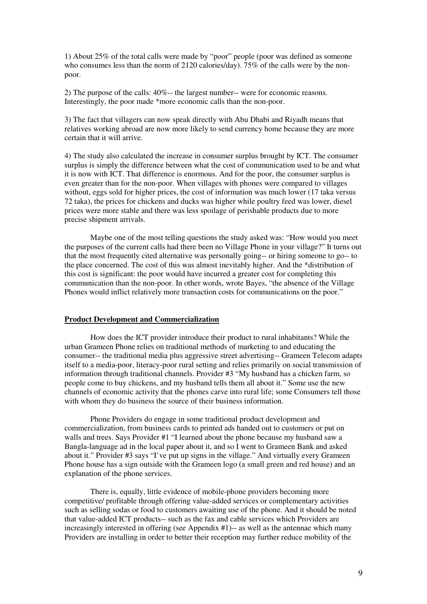1) About 25% of the total calls were made by "poor" people (poor was defined as someone who consumes less than the norm of 2120 calories/day). 75% of the calls were by the nonpoor.

2) The purpose of the calls: 40%-- the largest number-- were for economic reasons. Interestingly, the poor made \*more economic calls than the non-poor.

3) The fact that villagers can now speak directly with Abu Dhabi and Riyadh means that relatives working abroad are now more likely to send currency home because they are more certain that it will arrive.

4) The study also calculated the increase in consumer surplus brought by ICT. The consumer surplus is simply the difference between what the cost of communication used to be and what it is now with ICT. That difference is enormous. And for the poor, the consumer surplus is even greater than for the non-poor. When villages with phones were compared to villages without, eggs sold for higher prices, the cost of information was much lower (17 taka versus 72 taka), the prices for chickens and ducks was higher while poultry feed was lower, diesel prices were more stable and there was less spoilage of perishable products due to more precise shipment arrivals.

Maybe one of the most telling questions the study asked was: "How would you meet the purposes of the current calls had there been no Village Phone in your village?" It turns out that the most frequently cited alternative was personally going-- or hiring someone to go-- to the place concerned. The cost of this was almost inevitably higher. And the \*distribution of this cost is significant: the poor would have incurred a greater cost for completing this communication than the non-poor. In other words, wrote Bayes, "the absence of the Village Phones would inflict relatively more transaction costs for communications on the poor."

## **Product Development and Commercialization**

How does the ICT provider introduce their product to rural inhabitants? While the urban Grameen Phone relies on traditional methods of marketing to and educating the consumer-- the traditional media plus aggressive street advertising-- Grameen Telecom adapts itself to a media-poor, literacy-poor rural setting and relies primarily on social transmission of information through traditional channels. Provider #3 "My husband has a chicken farm, so people come to buy chickens, and my husband tells them all about it." Some use the new channels of economic activity that the phones carve into rural life; some Consumers tell those with whom they do business the source of their business information.

Phone Providers do engage in some traditional product development and commercialization, from business cards to printed ads handed out to customers or put on walls and trees. Says Provider #1 "I learned about the phone because my husband saw a Bangla-language ad in the local paper about it, and so  $\overline{I}$  went to Grameen Bank and asked about it." Provider #3 says "I've put up signs in the village." And virtually every Grameen Phone house has a sign outside with the Grameen logo (a small green and red house) and an explanation of the phone services.

There is, equally, little evidence of mobile-phone providers becoming more competitive/ profitable through offering value-added services or complementary activities such as selling sodas or food to customers awaiting use of the phone. And it should be noted that value-added ICT products-- such as the fax and cable services which Providers are increasingly interested in offering (see Appendix #1)-- as well as the antennae which many Providers are installing in order to better their reception may further reduce mobility of the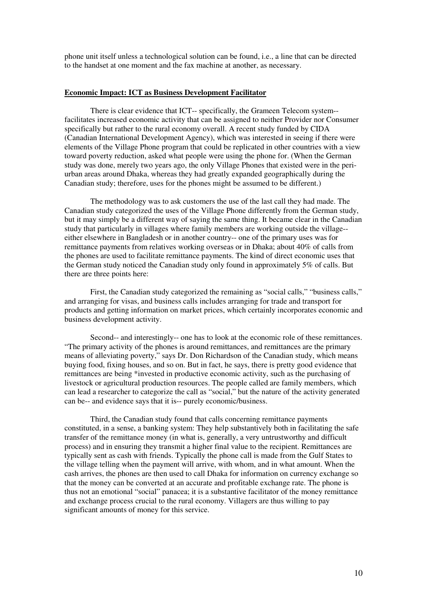phone unit itself unless a technological solution can be found, i.e., a line that can be directed to the handset at one moment and the fax machine at another, as necessary.

#### **Economic Impact: ICT as Business Development Facilitator**

There is clear evidence that ICT-- specifically, the Grameen Telecom system- facilitates increased economic activity that can be assigned to neither Provider nor Consumer specifically but rather to the rural economy overall. A recent study funded by CIDA (Canadian International Development Agency), which was interested in seeing if there were elements of the Village Phone program that could be replicated in other countries with a view toward poverty reduction, asked what people were using the phone for. (When the German study was done, merely two years ago, the only Village Phones that existed were in the periurban areas around Dhaka, whereas they had greatly expanded geographically during the Canadian study; therefore, uses for the phones might be assumed to be different.)

The methodology was to ask customers the use of the last call they had made. The Canadian study categorized the uses of the Village Phone differently from the German study, but it may simply be a different way of saying the same thing. It became clear in the Canadian study that particularly in villages where family members are working outside the village- either elsewhere in Bangladesh or in another country-- one of the primary uses was for remittance payments from relatives working overseas or in Dhaka; about 40% of calls from the phones are used to facilitate remittance payments. The kind of direct economic uses that the German study noticed the Canadian study only found in approximately 5% of calls. But there are three points here:

First, the Canadian study categorized the remaining as "social calls," "business calls," and arranging for visas, and business calls includes arranging for trade and transport for products and getting information on market prices, which certainly incorporates economic and business development activity.

Second-- and interestingly-- one has to look at the economic role of these remittances. "The primary activity of the phones is around remittances, and remittances are the primary means of alleviating poverty," says Dr. Don Richardson of the Canadian study, which means buying food, fixing houses, and so on. But in fact, he says, there is pretty good evidence that remittances are being \*invested in productive economic activity, such as the purchasing of livestock or agricultural production resources. The people called are family members, which can lead a researcher to categorize the call as "social," but the nature of the activity generated can be-- and evidence says that it is-- purely economic/business.

Third, the Canadian study found that calls concerning remittance payments constituted, in a sense, a banking system: They help substantively both in facilitating the safe transfer of the remittance money (in what is, generally, a very untrustworthy and difficult process) and in ensuring they transmit a higher final value to the recipient. Remittances are typically sent as cash with friends. Typically the phone call is made from the Gulf States to the village telling when the payment will arrive, with whom, and in what amount. When the cash arrives, the phones are then used to call Dhaka for information on currency exchange so that the money can be converted at an accurate and profitable exchange rate. The phone is thus not an emotional "social" panacea; it is a substantive facilitator of the money remittance and exchange process crucial to the rural economy. Villagers are thus willing to pay significant amounts of money for this service.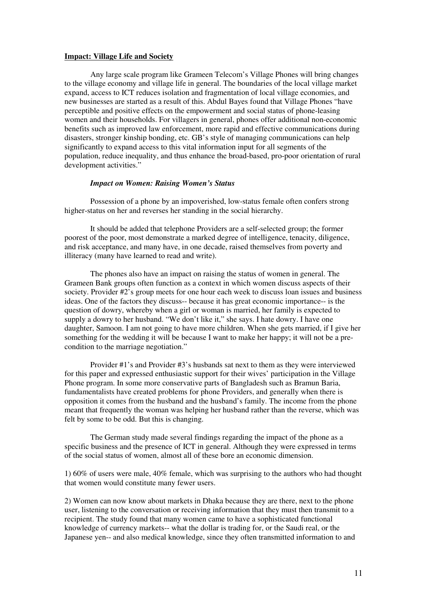#### **Impact: Village Life and Society**

Any large scale program like Grameen Telecom's Village Phones will bring changes to the village economy and village life in general. The boundaries of the local village market expand, access to ICT reduces isolation and fragmentation of local village economies, and new businesses are started as a result of this. Abdul Bayes found that Village Phones "have perceptible and positive effects on the empowerment and social status of phone-leasing women and their households. For villagers in general, phones offer additional non-economic benefits such as improved law enforcement, more rapid and effective communications during disasters, stronger kinship bonding, etc. GB's style of managing communications can help significantly to expand access to this vital information input for all segments of the population, reduce inequality, and thus enhance the broad-based, pro-poor orientation of rural development activities."

## *Impact on Women: Raising Women's Status*

Possession of a phone by an impoverished, low-status female often confers strong higher-status on her and reverses her standing in the social hierarchy.

It should be added that telephone Providers are a self-selected group; the former poorest of the poor, most demonstrate a marked degree of intelligence, tenacity, diligence, and risk acceptance, and many have, in one decade, raised themselves from poverty and illiteracy (many have learned to read and write).

The phones also have an impact on raising the status of women in general. The Grameen Bank groups often function as a context in which women discuss aspects of their society. Provider #2's group meets for one hour each week to discuss loan issues and business ideas. One of the factors they discuss-- because it has great economic importance-- is the question of dowry, whereby when a girl or woman is married, her family is expected to supply a dowry to her husband. "We don't like it," she says. I hate dowry. I have one daughter, Samoon. I am not going to have more children. When she gets married, if I give her something for the wedding it will be because I want to make her happy; it will not be a precondition to the marriage negotiation."

Provider #1's and Provider #3's husbands sat next to them as they were interviewed for this paper and expressed enthusiastic support for their wives' participation in the Village Phone program. In some more conservative parts of Bangladesh such as Bramun Baria, fundamentalists have created problems for phone Providers, and generally when there is opposition it comes from the husband and the husband's family. The income from the phone meant that frequently the woman was helping her husband rather than the reverse, which was felt by some to be odd. But this is changing.

The German study made several findings regarding the impact of the phone as a specific business and the presence of ICT in general. Although they were expressed in terms of the social status of women, almost all of these bore an economic dimension.

1) 60% of users were male, 40% female, which was surprising to the authors who had thought that women would constitute many fewer users.

2) Women can now know about markets in Dhaka because they are there, next to the phone user, listening to the conversation or receiving information that they must then transmit to a recipient. The study found that many women came to have a sophisticated functional knowledge of currency markets-- what the dollar is trading for, or the Saudi real, or the Japanese yen-- and also medical knowledge, since they often transmitted information to and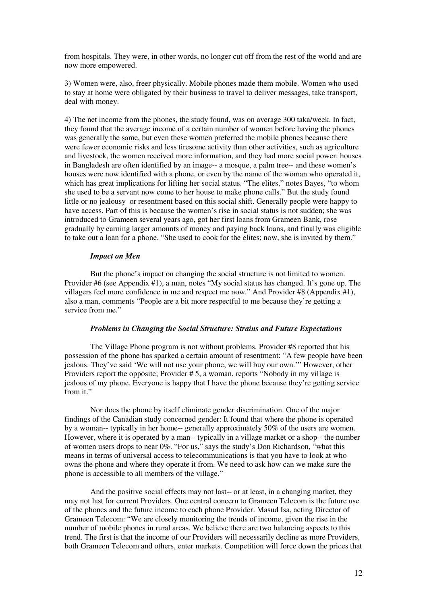from hospitals. They were, in other words, no longer cut off from the rest of the world and are now more empowered.

3) Women were, also, freer physically. Mobile phones made them mobile. Women who used to stay at home were obligated by their business to travel to deliver messages, take transport, deal with money.

4) The net income from the phones, the study found, was on average 300 taka/week. In fact, they found that the average income of a certain number of women before having the phones was generally the same, but even these women preferred the mobile phones because there were fewer economic risks and less tiresome activity than other activities, such as agriculture and livestock, the women received more information, and they had more social power: houses in Bangladesh are often identified by an image-- a mosque, a palm tree-- and these women's houses were now identified with a phone, or even by the name of the woman who operated it, which has great implications for lifting her social status. "The elites," notes Bayes, "to whom she used to be a servant now come to her house to make phone calls." But the study found little or no jealousy or resentment based on this social shift. Generally people were happy to have access. Part of this is because the women's rise in social status is not sudden; she was introduced to Grameen several years ago, got her first loans from Grameen Bank, rose gradually by earning larger amounts of money and paying back loans, and finally was eligible to take out a loan for a phone. "She used to cook for the elites; now, she is invited by them."

## *Impact on Men*

But the phone's impact on changing the social structure is not limited to women. Provider #6 (see Appendix #1), a man, notes "My social status has changed. It's gone up. The villagers feel more confidence in me and respect me now." And Provider #8 (Appendix #1), also a man, comments "People are a bit more respectful to me because they're getting a service from me."

## *Problems in Changing the Social Structure: Strains and Future Expectations*

The Village Phone program is not without problems. Provider #8 reported that his possession of the phone has sparked a certain amount of resentment: "A few people have been jealous. They've said 'We will not use your phone, we will buy our own.'" However, other Providers report the opposite; Provider # 5, a woman, reports "Nobody in my village is jealous of my phone. Everyone is happy that I have the phone because they're getting service from it."

Nor does the phone by itself eliminate gender discrimination. One of the major findings of the Canadian study concerned gender: It found that where the phone is operated by a woman-- typically in her home-- generally approximately 50% of the users are women. However, where it is operated by a man-- typically in a village market or a shop-- the number of women users drops to near 0%. "For us," says the study's Don Richardson, "what this means in terms of universal access to telecommunications is that you have to look at who owns the phone and where they operate it from. We need to ask how can we make sure the phone is accessible to all members of the village."

And the positive social effects may not last-- or at least, in a changing market, they may not last for current Providers. One central concern to Grameen Telecom is the future use of the phones and the future income to each phone Provider. Masud Isa, acting Director of Grameen Telecom: "We are closely monitoring the trends of income, given the rise in the number of mobile phones in rural areas. We believe there are two balancing aspects to this trend. The first is that the income of our Providers will necessarily decline as more Providers, both Grameen Telecom and others, enter markets. Competition will force down the prices that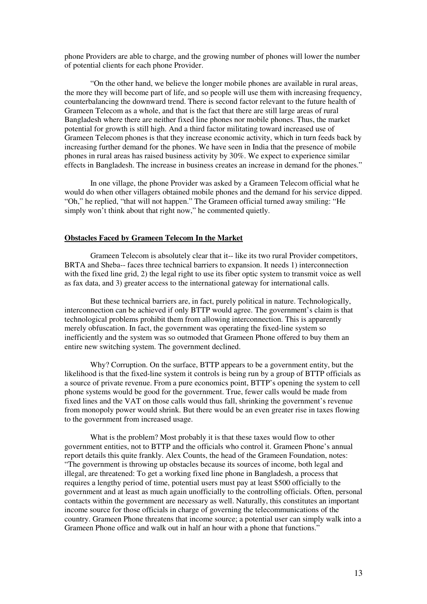phone Providers are able to charge, and the growing number of phones will lower the number of potential clients for each phone Provider.

"On the other hand, we believe the longer mobile phones are available in rural areas, the more they will become part of life, and so people will use them with increasing frequency, counterbalancing the downward trend. There is second factor relevant to the future health of Grameen Telecom as a whole, and that is the fact that there are still large areas of rural Bangladesh where there are neither fixed line phones nor mobile phones. Thus, the market potential for growth is still high. And a third factor militating toward increased use of Grameen Telecom phones is that they increase economic activity, which in turn feeds back by increasing further demand for the phones. We have seen in India that the presence of mobile phones in rural areas has raised business activity by 30%. We expect to experience similar effects in Bangladesh. The increase in business creates an increase in demand for the phones."

In one village, the phone Provider was asked by a Grameen Telecom official what he would do when other villagers obtained mobile phones and the demand for his service dipped. "Oh," he replied, "that will not happen." The Grameen official turned away smiling: "He simply won't think about that right now," he commented quietly.

## **Obstacles Faced by Grameen Telecom In the Market**

Grameen Telecom is absolutely clear that it-- like its two rural Provider competitors, BRTA and Sheba-- faces three technical barriers to expansion. It needs 1) interconnection with the fixed line grid, 2) the legal right to use its fiber optic system to transmit voice as well as fax data, and 3) greater access to the international gateway for international calls.

But these technical barriers are, in fact, purely political in nature. Technologically, interconnection can be achieved if only BTTP would agree. The government's claim is that technological problems prohibit them from allowing interconnection. This is apparently merely obfuscation. In fact, the government was operating the fixed-line system so inefficiently and the system was so outmoded that Grameen Phone offered to buy them an entire new switching system. The government declined.

Why? Corruption. On the surface, BTTP appears to be a government entity, but the likelihood is that the fixed-line system it controls is being run by a group of BTTP officials as a source of private revenue. From a pure economics point, BTTP's opening the system to cell phone systems would be good for the government. True, fewer calls would be made from fixed lines and the VAT on those calls would thus fall, shrinking the government's revenue from monopoly power would shrink. But there would be an even greater rise in taxes flowing to the government from increased usage.

What is the problem? Most probably it is that these taxes would flow to other government entities, not to BTTP and the officials who control it. Grameen Phone's annual report details this quite frankly. Alex Counts, the head of the Grameen Foundation, notes: "The government is throwing up obstacles because its sources of income, both legal and illegal, are threatened: To get a working fixed line phone in Bangladesh, a process that requires a lengthy period of time, potential users must pay at least \$500 officially to the government and at least as much again unofficially to the controlling officials. Often, personal contacts within the government are necessary as well. Naturally, this constitutes an important income source for those officials in charge of governing the telecommunications of the country. Grameen Phone threatens that income source; a potential user can simply walk into a Grameen Phone office and walk out in half an hour with a phone that functions."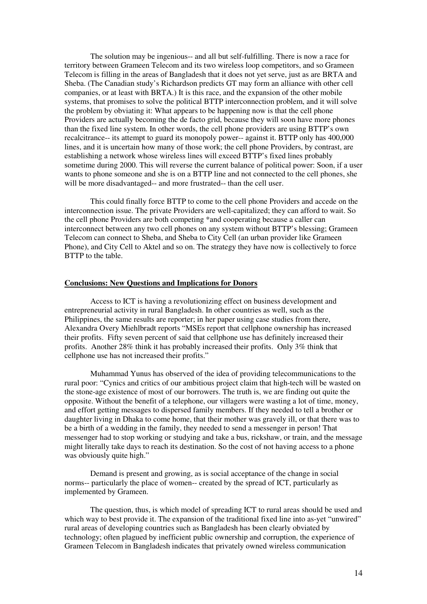The solution may be ingenious-- and all but self-fulfilling. There is now a race for territory between Grameen Telecom and its two wireless loop competitors, and so Grameen Telecom is filling in the areas of Bangladesh that it does not yet serve, just as are BRTA and Sheba. (The Canadian study's Richardson predicts GT may form an alliance with other cell companies, or at least with BRTA.) It is this race, and the expansion of the other mobile systems, that promises to solve the political BTTP interconnection problem, and it will solve the problem by obviating it: What appears to be happening now is that the cell phone Providers are actually becoming the de facto grid, because they will soon have more phones than the fixed line system. In other words, the cell phone providers are using BTTP's own recalcitrance-- its attempt to guard its monopoly power-- against it. BTTP only has 400,000 lines, and it is uncertain how many of those work; the cell phone Providers, by contrast, are establishing a network whose wireless lines will exceed BTTP's fixed lines probably sometime during 2000. This will reverse the current balance of political power: Soon, if a user wants to phone someone and she is on a BTTP line and not connected to the cell phones, she will be more disadvantaged-- and more frustrated-- than the cell user.

This could finally force BTTP to come to the cell phone Providers and accede on the interconnection issue. The private Providers are well-capitalized; they can afford to wait. So the cell phone Providers are both competing \*and cooperating because a caller can interconnect between any two cell phones on any system without BTTP's blessing; Grameen Telecom can connect to Sheba, and Sheba to City Cell (an urban provider like Grameen Phone), and City Cell to Aktel and so on. The strategy they have now is collectively to force BTTP to the table.

## **Conclusions: New Questions and Implications for Donors**

Access to ICT is having a revolutionizing effect on business development and entrepreneurial activity in rural Bangladesh. In other countries as well, such as the Philippines, the same results are reporter; in her paper using case studies from there, Alexandra Overy Miehlbradt reports "MSEs report that cellphone ownership has increased their profits. Fifty seven percent of said that cellphone use has definitely increased their profits. Another 28% think it has probably increased their profits. Only 3% think that cellphone use has not increased their profits."

Muhammad Yunus has observed of the idea of providing telecommunications to the rural poor: "Cynics and critics of our ambitious project claim that high-tech will be wasted on the stone-age existence of most of our borrowers. The truth is, we are finding out quite the opposite. Without the benefit of a telephone, our villagers were wasting a lot of time, money, and effort getting messages to dispersed family members. If they needed to tell a brother or daughter living in Dhaka to come home, that their mother was gravely ill, or that there was to be a birth of a wedding in the family, they needed to send a messenger in person! That messenger had to stop working or studying and take a bus, rickshaw, or train, and the message might literally take days to reach its destination. So the cost of not having access to a phone was obviously quite high."

Demand is present and growing, as is social acceptance of the change in social norms-- particularly the place of women-- created by the spread of ICT, particularly as implemented by Grameen.

The question, thus, is which model of spreading ICT to rural areas should be used and which way to best provide it. The expansion of the traditional fixed line into as-yet "unwired" rural areas of developing countries such as Bangladesh has been clearly obviated by technology; often plagued by inefficient public ownership and corruption, the experience of Grameen Telecom in Bangladesh indicates that privately owned wireless communication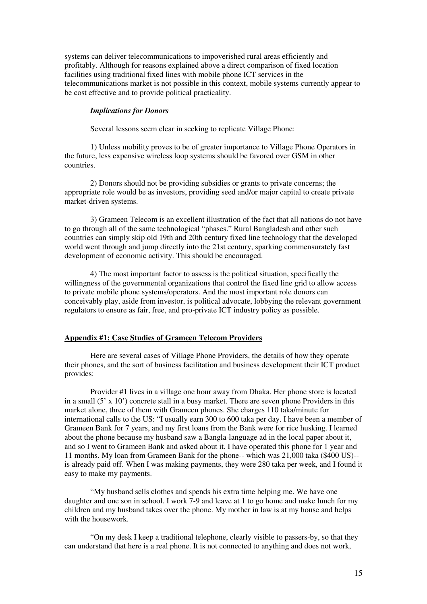systems can deliver telecommunications to impoverished rural areas efficiently and profitably. Although for reasons explained above a direct comparison of fixed location facilities using traditional fixed lines with mobile phone ICT services in the telecommunications market is not possible in this context, mobile systems currently appear to be cost effective and to provide political practicality.

#### *Implications for Donors*

Several lessons seem clear in seeking to replicate Village Phone:

1) Unless mobility proves to be of greater importance to Village Phone Operators in the future, less expensive wireless loop systems should be favored over GSM in other countries.

2) Donors should not be providing subsidies or grants to private concerns; the appropriate role would be as investors, providing seed and/or major capital to create private market-driven systems.

3) Grameen Telecom is an excellent illustration of the fact that all nations do not have to go through all of the same technological "phases." Rural Bangladesh and other such countries can simply skip old 19th and 20th century fixed line technology that the developed world went through and jump directly into the 21st century, sparking commensurately fast development of economic activity. This should be encouraged.

4) The most important factor to assess is the political situation, specifically the willingness of the governmental organizations that control the fixed line grid to allow access to private mobile phone systems/operators. And the most important role donors can conceivably play, aside from investor, is political advocate, lobbying the relevant government regulators to ensure as fair, free, and pro-private ICT industry policy as possible.

## **Appendix #1: Case Studies of Grameen Telecom Providers**

Here are several cases of Village Phone Providers, the details of how they operate their phones, and the sort of business facilitation and business development their ICT product provides:

Provider #1 lives in a village one hour away from Dhaka. Her phone store is located in a small (5' x 10') concrete stall in a busy market. There are seven phone Providers in this market alone, three of them with Grameen phones. She charges 110 taka/minute for international calls to the US: "I usually earn 300 to 600 taka per day. I have been a member of Grameen Bank for 7 years, and my first loans from the Bank were for rice husking. I learned about the phone because my husband saw a Bangla-language ad in the local paper about it, and so I went to Grameen Bank and asked about it. I have operated this phone for 1 year and 11 months. My loan from Grameen Bank for the phone-- which was 21,000 taka (\$400 US)- is already paid off. When I was making payments, they were 280 taka per week, and I found it easy to make my payments.

"My husband sells clothes and spends his extra time helping me. We have one daughter and one son in school. I work 7-9 and leave at 1 to go home and make lunch for my children and my husband takes over the phone. My mother in law is at my house and helps with the housework.

"On my desk I keep a traditional telephone, clearly visible to passers-by, so that they can understand that here is a real phone. It is not connected to anything and does not work,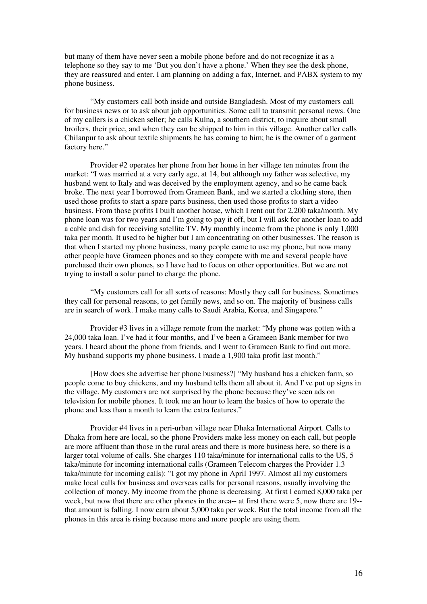but many of them have never seen a mobile phone before and do not recognize it as a telephone so they say to me 'But you don't have a phone.' When they see the desk phone, they are reassured and enter. I am planning on adding a fax, Internet, and PABX system to my phone business.

"My customers call both inside and outside Bangladesh. Most of my customers call for business news or to ask about job opportunities. Some call to transmit personal news. One of my callers is a chicken seller; he calls Kulna, a southern district, to inquire about small broilers, their price, and when they can be shipped to him in this village. Another caller calls Chilanpur to ask about textile shipments he has coming to him; he is the owner of a garment factory here."

Provider #2 operates her phone from her home in her village ten minutes from the market: "I was married at a very early age, at 14, but although my father was selective, my husband went to Italy and was deceived by the employment agency, and so he came back broke. The next year I borrowed from Grameen Bank, and we started a clothing store, then used those profits to start a spare parts business, then used those profits to start a video business. From those profits I built another house, which I rent out for 2,200 taka/month. My phone loan was for two years and I'm going to pay it off, but I will ask for another loan to add a cable and dish for receiving satellite TV. My monthly income from the phone is only 1,000 taka per month. It used to be higher but I am concentrating on other businesses. The reason is that when I started my phone business, many people came to use my phone, but now many other people have Grameen phones and so they compete with me and several people have purchased their own phones, so I have had to focus on other opportunities. But we are not trying to install a solar panel to charge the phone.

"My customers call for all sorts of reasons: Mostly they call for business. Sometimes they call for personal reasons, to get family news, and so on. The majority of business calls are in search of work. I make many calls to Saudi Arabia, Korea, and Singapore."

Provider #3 lives in a village remote from the market: "My phone was gotten with a 24,000 taka loan. I've had it four months, and I've been a Grameen Bank member for two years. I heard about the phone from friends, and I went to Grameen Bank to find out more. My husband supports my phone business. I made a 1,900 taka profit last month."

[How does she advertise her phone business?] "My husband has a chicken farm, so people come to buy chickens, and my husband tells them all about it. And I've put up signs in the village. My customers are not surprised by the phone because they've seen ads on television for mobile phones. It took me an hour to learn the basics of how to operate the phone and less than a month to learn the extra features."

Provider #4 lives in a peri-urban village near Dhaka International Airport. Calls to Dhaka from here are local, so the phone Providers make less money on each call, but people are more affluent than those in the rural areas and there is more business here, so there is a larger total volume of calls. She charges 110 taka/minute for international calls to the US, 5 taka/minute for incoming international calls (Grameen Telecom charges the Provider 1.3 taka/minute for incoming calls): "I got my phone in April 1997. Almost all my customers make local calls for business and overseas calls for personal reasons, usually involving the collection of money. My income from the phone is decreasing. At first I earned 8,000 taka per week, but now that there are other phones in the area-- at first there were 5, now there are 19- that amount is falling. I now earn about 5,000 taka per week. But the total income from all the phones in this area is rising because more and more people are using them.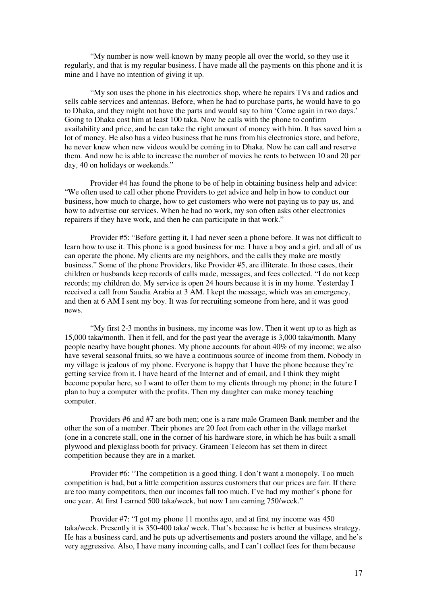"My number is now well-known by many people all over the world, so they use it regularly, and that is my regular business. I have made all the payments on this phone and it is mine and I have no intention of giving it up.

"My son uses the phone in his electronics shop, where he repairs TVs and radios and sells cable services and antennas. Before, when he had to purchase parts, he would have to go to Dhaka, and they might not have the parts and would say to him 'Come again in two days.' Going to Dhaka cost him at least 100 taka. Now he calls with the phone to confirm availability and price, and he can take the right amount of money with him. It has saved him a lot of money. He also has a video business that he runs from his electronics store, and before, he never knew when new videos would be coming in to Dhaka. Now he can call and reserve them. And now he is able to increase the number of movies he rents to between 10 and 20 per day, 40 on holidays or weekends."

Provider #4 has found the phone to be of help in obtaining business help and advice: "We often used to call other phone Providers to get advice and help in how to conduct our business, how much to charge, how to get customers who were not paying us to pay us, and how to advertise our services. When he had no work, my son often asks other electronics repairers if they have work, and then he can participate in that work."

Provider #5: "Before getting it, I had never seen a phone before. It was not difficult to learn how to use it. This phone is a good business for me. I have a boy and a girl, and all of us can operate the phone. My clients are my neighbors, and the calls they make are mostly business." Some of the phone Providers, like Provider #5, are illiterate. In those cases, their children or husbands keep records of calls made, messages, and fees collected. "I do not keep records; my children do. My service is open 24 hours because it is in my home. Yesterday I received a call from Saudia Arabia at 3 AM. I kept the message, which was an emergency, and then at 6 AM I sent my boy. It was for recruiting someone from here, and it was good news.

"My first 2-3 months in business, my income was low. Then it went up to as high as 15,000 taka/month. Then it fell, and for the past year the average is 3,000 taka/month. Many people nearby have bought phones. My phone accounts for about 40% of my income; we also have several seasonal fruits, so we have a continuous source of income from them. Nobody in my village is jealous of my phone. Everyone is happy that I have the phone because they're getting service from it. I have heard of the Internet and of email, and I think they might become popular here, so I want to offer them to my clients through my phone; in the future I plan to buy a computer with the profits. Then my daughter can make money teaching computer.

Providers #6 and #7 are both men; one is a rare male Grameen Bank member and the other the son of a member. Their phones are 20 feet from each other in the village market (one in a concrete stall, one in the corner of his hardware store, in which he has built a small plywood and plexiglass booth for privacy. Grameen Telecom has set them in direct competition because they are in a market.

Provider #6: "The competition is a good thing. I don't want a monopoly. Too much competition is bad, but a little competition assures customers that our prices are fair. If there are too many competitors, then our incomes fall too much. I've had my mother's phone for one year. At first I earned 500 taka/week, but now I am earning 750/week."

Provider #7: "I got my phone 11 months ago, and at first my income was 450 taka/week. Presently it is 350-400 taka/ week. That's because he is better at business strategy. He has a business card, and he puts up advertisements and posters around the village, and he's very aggressive. Also, I have many incoming calls, and I can't collect fees for them because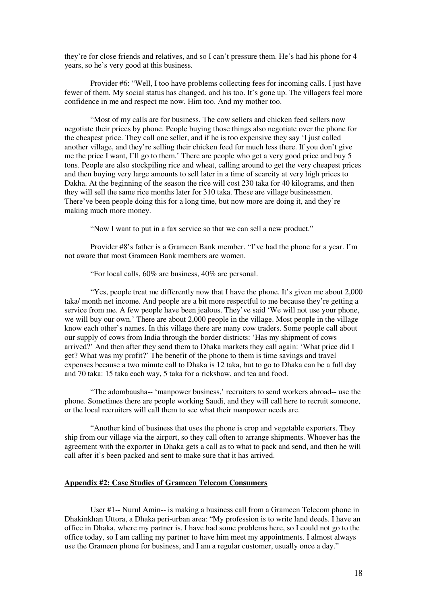they're for close friends and relatives, and so I can't pressure them. He's had his phone for 4 years, so he's very good at this business.

Provider #6: "Well, I too have problems collecting fees for incoming calls. I just have fewer of them. My social status has changed, and his too. It's gone up. The villagers feel more confidence in me and respect me now. Him too. And my mother too.

"Most of my calls are for business. The cow sellers and chicken feed sellers now negotiate their prices by phone. People buying those things also negotiate over the phone for the cheapest price. They call one seller, and if he is too expensive they say 'I just called another village, and they're selling their chicken feed for much less there. If you don't give me the price I want, I'll go to them.' There are people who get a very good price and buy 5 tons. People are also stockpiling rice and wheat, calling around to get the very cheapest prices and then buying very large amounts to sell later in a time of scarcity at very high prices to Dakha. At the beginning of the season the rice will cost 230 taka for 40 kilograms, and then they will sell the same rice months later for 310 taka. These are village businessmen. There've been people doing this for a long time, but now more are doing it, and they're making much more money.

"Now I want to put in a fax service so that we can sell a new product."

Provider #8's father is a Grameen Bank member. "I've had the phone for a year. I'm not aware that most Grameen Bank members are women.

"For local calls, 60% are business, 40% are personal.

"Yes, people treat me differently now that I have the phone. It's given me about 2,000 taka/ month net income. And people are a bit more respectful to me because they're getting a service from me. A few people have been jealous. They've said 'We will not use your phone, we will buy our own.' There are about 2,000 people in the village. Most people in the village know each other's names. In this village there are many cow traders. Some people call about our supply of cows from India through the border districts: 'Has my shipment of cows arrived?' And then after they send them to Dhaka markets they call again: 'What price did I get? What was my profit?' The benefit of the phone to them is time savings and travel expenses because a two minute call to Dhaka is 12 taka, but to go to Dhaka can be a full day and 70 taka: 15 taka each way, 5 taka for a rickshaw, and tea and food.

"The adombausha-- 'manpower business,' recruiters to send workers abroad-- use the phone. Sometimes there are people working Saudi, and they will call here to recruit someone, or the local recruiters will call them to see what their manpower needs are.

"Another kind of business that uses the phone is crop and vegetable exporters. They ship from our village via the airport, so they call often to arrange shipments. Whoever has the agreement with the exporter in Dhaka gets a call as to what to pack and send, and then he will call after it's been packed and sent to make sure that it has arrived.

## **Appendix #2: Case Studies of Grameen Telecom Consumers**

User #1-- Nurul Amin-- is making a business call from a Grameen Telecom phone in Dhakinkhan Uttora, a Dhaka peri-urban area: "My profession is to write land deeds. I have an office in Dhaka, where my partner is. I have had some problems here, so I could not go to the office today, so I am calling my partner to have him meet my appointments. I almost always use the Grameen phone for business, and I am a regular customer, usually once a day."